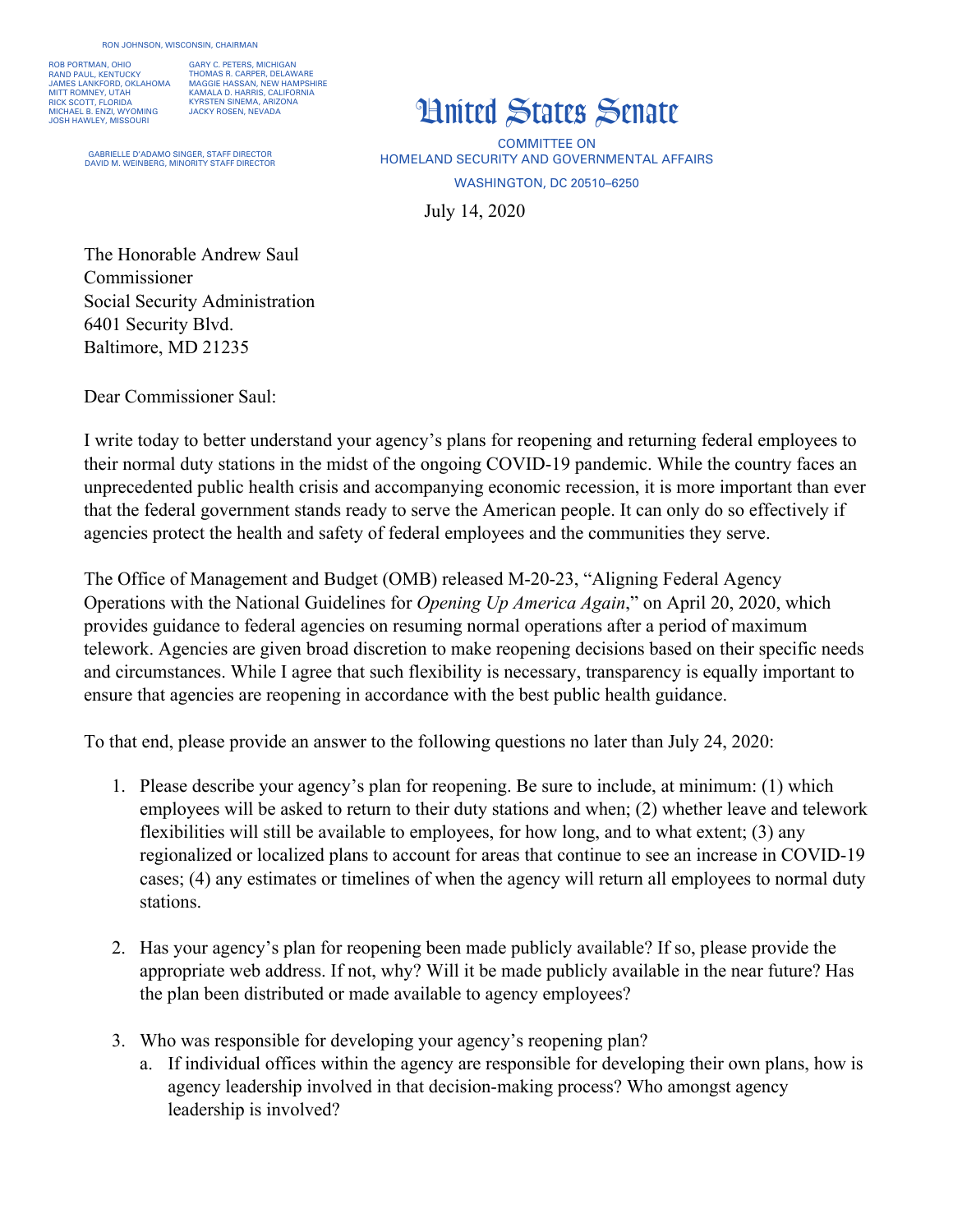ROB PORTMAN, OHIO RAND PAUL, KENTUCKY JAMES LANKFORD, OKLAHOMA MITT ROMNEY, UTAH RICK SCOTT, FLORIDA MICHAEL B. ENZI, WYOMING JOSH HAWLEY, MISSOURI

GARY C. PETERS, MICHIGAN THOMAS R. CARPER, DELAWARE MAGGIE HASSAN, NEW HAMPSHIRE KAMALA D. HARRIS, CALIFORNIA KYRSTEN SINEMA, ARIZONA JACKY ROSEN, NEVADA

GABRIELLE D'ADAMO SINGER, STAFF DIRECTOR DAVID M. WEINBERG, MINORITY STAFF DIRECT

## United States Senate

July 14, 2020 COMMITTEE ON HOMELAND SECURITY AND GOVERNMENTAL AFFAIRS WASHINGTON, DC 20510–6250

The Honorable Andrew Saul Commissioner Social Security Administration 6401 Security Blvd. Baltimore, MD 21235

Dear Commissioner Saul:

I write today to better understand your agency's plans for reopening and returning federal employees to their normal duty stations in the midst of the ongoing COVID-19 pandemic. While the country faces an unprecedented public health crisis and accompanying economic recession, it is more important than ever that the federal government stands ready to serve the American people. It can only do so effectively if agencies protect the health and safety of federal employees and the communities they serve.

The Office of Management and Budget (OMB) released M-20-23, "Aligning Federal Agency Operations with the National Guidelines for *Opening Up America Again*," on April 20, 2020, which provides guidance to federal agencies on resuming normal operations after a period of maximum telework. Agencies are given broad discretion to make reopening decisions based on their specific needs and circumstances. While I agree that such flexibility is necessary, transparency is equally important to ensure that agencies are reopening in accordance with the best public health guidance.

To that end, please provide an answer to the following questions no later than July 24, 2020:

- 1. Please describe your agency's plan for reopening. Be sure to include, at minimum: (1) which employees will be asked to return to their duty stations and when; (2) whether leave and telework flexibilities will still be available to employees, for how long, and to what extent; (3) any regionalized or localized plans to account for areas that continue to see an increase in COVID-19 cases; (4) any estimates or timelines of when the agency will return all employees to normal duty stations.
- 2. Has your agency's plan for reopening been made publicly available? If so, please provide the appropriate web address. If not, why? Will it be made publicly available in the near future? Has the plan been distributed or made available to agency employees?
- 3. Who was responsible for developing your agency's reopening plan?
	- a. If individual offices within the agency are responsible for developing their own plans, how is agency leadership involved in that decision-making process? Who amongst agency leadership is involved?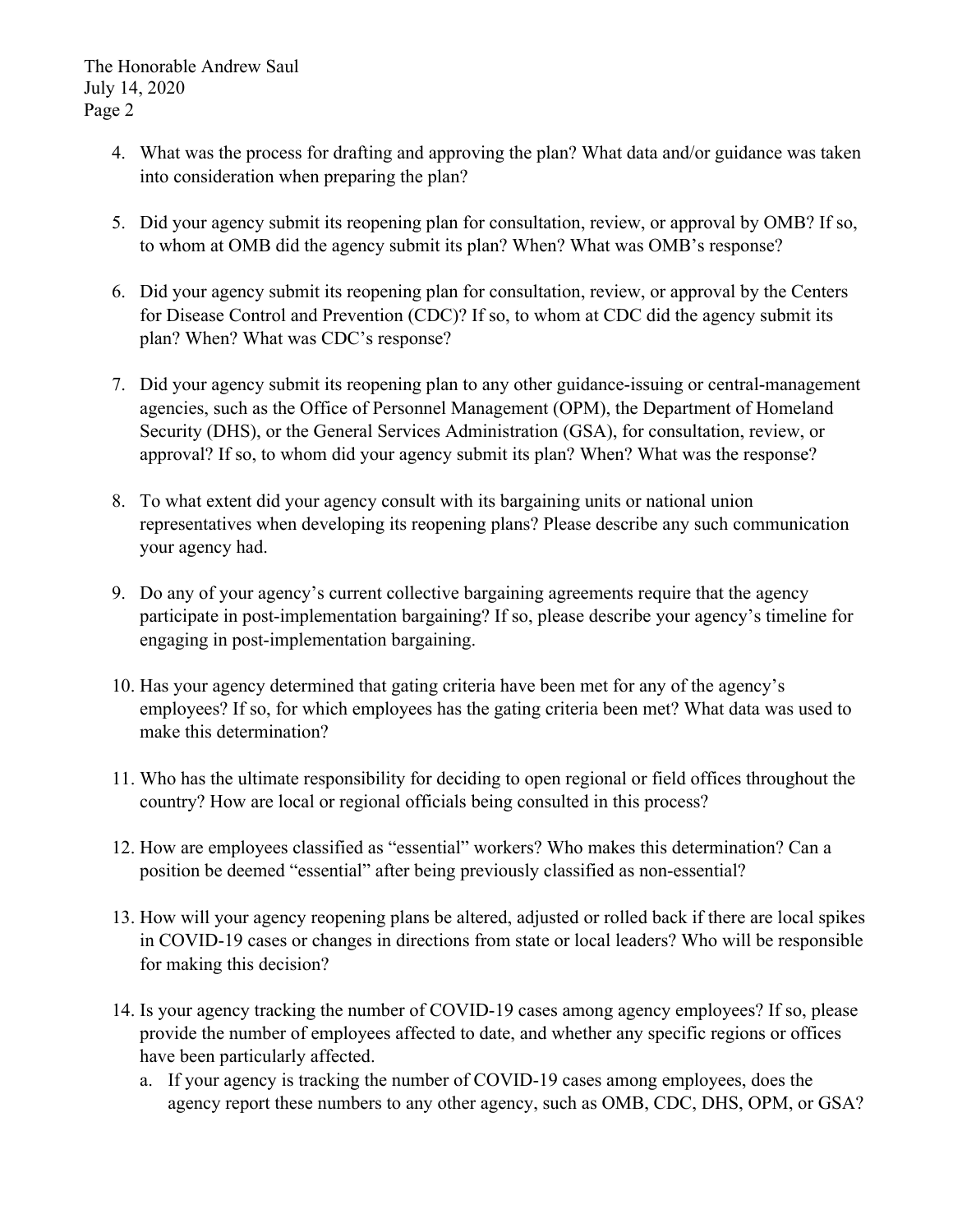- 4. What was the process for drafting and approving the plan? What data and/or guidance was taken into consideration when preparing the plan?
- 5. Did your agency submit its reopening plan for consultation, review, or approval by OMB? If so, to whom at OMB did the agency submit its plan? When? What was OMB's response?
- 6. Did your agency submit its reopening plan for consultation, review, or approval by the Centers for Disease Control and Prevention (CDC)? If so, to whom at CDC did the agency submit its plan? When? What was CDC's response?
- 7. Did your agency submit its reopening plan to any other guidance-issuing or central-management agencies, such as the Office of Personnel Management (OPM), the Department of Homeland Security (DHS), or the General Services Administration (GSA), for consultation, review, or approval? If so, to whom did your agency submit its plan? When? What was the response?
- 8. To what extent did your agency consult with its bargaining units or national union representatives when developing its reopening plans? Please describe any such communication your agency had.
- 9. Do any of your agency's current collective bargaining agreements require that the agency participate in post-implementation bargaining? If so, please describe your agency's timeline for engaging in post-implementation bargaining.
- 10. Has your agency determined that gating criteria have been met for any of the agency's employees? If so, for which employees has the gating criteria been met? What data was used to make this determination?
- 11. Who has the ultimate responsibility for deciding to open regional or field offices throughout the country? How are local or regional officials being consulted in this process?
- 12. How are employees classified as "essential" workers? Who makes this determination? Can a position be deemed "essential" after being previously classified as non-essential?
- 13. How will your agency reopening plans be altered, adjusted or rolled back if there are local spikes in COVID-19 cases or changes in directions from state or local leaders? Who will be responsible for making this decision?
- 14. Is your agency tracking the number of COVID-19 cases among agency employees? If so, please provide the number of employees affected to date, and whether any specific regions or offices have been particularly affected.
	- a. If your agency is tracking the number of COVID-19 cases among employees, does the agency report these numbers to any other agency, such as OMB, CDC, DHS, OPM, or GSA?